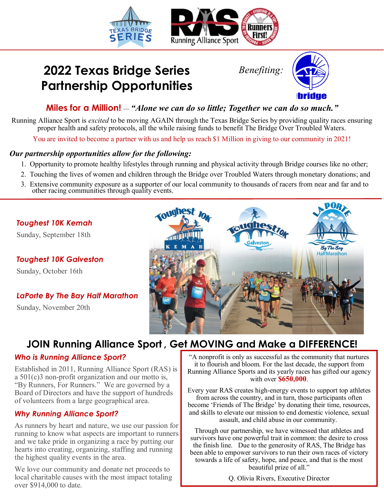

# **2022 Texas Bridge Series** *Benefiting:* **Partnership Opportunities**



### **Miles for a Million!** *— "Alone we can do so little; Together we can do so much."*

Running Alliance Sport is *excited* to be moving AGAIN through the Texas Bridge Series by providing quality races ensuring proper health and safety protocols, all the while raising funds to benefit The Bridge Over Troubled Waters.

You are invited to become a partner with us and help us reach \$1 Million in giving to our community in 2021!

#### *Our partnership opportunities allow for the following:*

- 1. Opportunity to promote healthy lifestyles through running and physical activity through Bridge courses like no other;
- 2. Touching the lives of women and children through the Bridge over Troubled Waters through monetary donations; and
- 3. Extensive community exposure as a supporter of our local community to thousands of racers from near and far and to other racing communities through quality events.

#### *Toughest 10K Kemah*

Sunday, September 18th

*Toughest 10K Galveston*

Sunday, October 16th

### *LaPorte By The Bay Half Marathon*

Sunday, November 20th



## **JOIN Running Alliance Sport , Get MOVING and Make a DIFFERENCE!**

#### *Who is Running Alliance Sport?*

Established in 2011, Running Alliance Sport (RAS) is a 501(c)3 non-profit organization and our motto is, "By Runners, For Runners." We are governed by a Board of Directors and have the support of hundreds of volunteers from a large geographical area.

#### *Why Running Alliance Sport?*

As runners by heart and nature, we use our passion for running to know what aspects are important to runners and we take pride in organizing a race by putting our hearts into creating, organizing, staffing and running the highest quality events in the area.

We love our community and donate net proceeds to local charitable causes with the most impact totaling over \$914,000 to date.

"A nonprofit is only as successful as the community that nurtures it to flourish and bloom. For the last decade, the support from Running Alliance Sports and its yearly races has gifted our agency with over **\$650,000**.

Every year RAS creates high-energy events to support top athletes from across the country, and in turn, those participants often become 'Friends of The Bridge' by donating their time, resources, and skills to elevate our mission to end domestic violence, sexual assault, and child abuse in our community.

Through our partnership, we have witnessed that athletes and survivors have one powerful trait in common: the desire to cross the finish line. Due to the generosity of RAS, The Bridge has been able to empower survivors to run their own races of victory towards a life of safety, hope, and peace, and that is the most beautiful prize of all."

Q. Olivia Rivers, Executive Director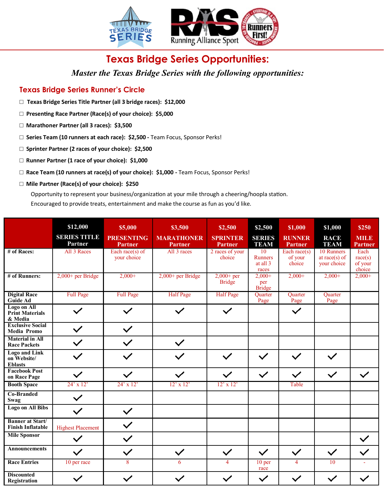

### **Texas Bridge Series Opportunities:**

*Master the Texas Bridge Series with the following opportunities:*

#### **Texas Bridge Series Runner's Circle**

- **□ Texas Bridge Series Title Partner (all 3 bridge races): \$12,000**
- **□ Presenting Race Partner (Race(s) of your choice): \$5,000**
- **□ Marathoner Partner (all 3 races): \$3,500**
- **□ Series Team (10 runners at each race): \$2,500 -** Team Focus, Sponsor Perks!
- **□ Sprinter Partner (2 races of your choice): \$2,500**
- **□ Runner Partner (1 race of your choice): \$1,000**
- **□ Race Team (10 runners at race(s) of your choice): \$1,000 -** Team Focus, Sponsor Perks!
- **□ Mile Partner (Race(s) of your choice): \$250**

Opportunity to represent your business/organization at your mile through a cheering/hoopla station. Encouraged to provide treats, entertainment and make the course as fun as you'd like.

|                                                       | \$12,000<br><b>SERIES TITLE</b><br>Partner | \$5,000<br><b>PRESENTING</b><br><b>Partner</b> | \$3,500<br><b>MARATHONER</b><br><b>Partner</b> | \$2,500<br><b>SPRINTER</b><br><b>Partner</b> | \$2,500<br><b>SERIES</b><br><b>TEAM</b>   | \$1,000<br><b>RUNNER</b><br><b>Partner</b> | \$1,000<br><b>RACE</b><br><b>TEAM</b>          | \$250<br><b>MILE</b><br><b>Partner</b> |
|-------------------------------------------------------|--------------------------------------------|------------------------------------------------|------------------------------------------------|----------------------------------------------|-------------------------------------------|--------------------------------------------|------------------------------------------------|----------------------------------------|
| # of Races:                                           | All 3 Races                                | Each race(s) of<br>your choice                 | All 3 races                                    | 2 races of your<br>choice                    | 10<br><b>Runners</b><br>at all 3<br>races | Each race( $s$ )<br>of your<br>choice      | 10 Runners<br>at race( $s$ ) of<br>your choice | Each<br>race(s)<br>of your<br>choice   |
| # of Runners:                                         | $2,000+$ per Bridge                        | $2,000+$                                       | $2,000+$ per Bridge                            | $2,000+$ per<br><b>Bridge</b>                | $2.000+$<br>per<br>Bridge                 | $2,000+$                                   | $2,000+$                                       | $2,000+$                               |
| <b>Digital Race</b><br><b>Guide Ad</b>                | Full Page                                  | <b>Full Page</b>                               | <b>Half</b> Page                               | <b>Half Page</b>                             | Quarter<br>Page                           | Quarter<br>Page                            | Quarter<br>Page                                |                                        |
| Logo on All<br><b>Print Materials</b><br>& Media      |                                            |                                                |                                                | $\checkmark$                                 |                                           | $\checkmark$                               |                                                |                                        |
| <b>Exclusive Social</b><br><b>Media Promo</b>         | $\checkmark$                               | $\checkmark$                                   |                                                |                                              |                                           |                                            |                                                |                                        |
| <b>Material in All</b><br><b>Race Packets</b>         |                                            | $\checkmark$                                   |                                                |                                              |                                           |                                            |                                                |                                        |
| <b>Logo and Link</b><br>on Website/<br><b>Eblasts</b> |                                            |                                                |                                                | $\checkmark$                                 | $\checkmark$                              | $\checkmark$                               | $\checkmark$                                   |                                        |
| <b>Facebook Post</b><br>on Race Page                  | $\checkmark$                               | $\checkmark$                                   |                                                | $\checkmark$                                 | $\checkmark$                              | $\checkmark$                               | $\checkmark$                                   | $\checkmark$                           |
| <b>Booth Space</b>                                    | $24'$ x 12'                                | $24' \times 12'$                               | $12'$ x $12'$                                  | $12'$ x $12'$                                |                                           | Table                                      |                                                |                                        |
| <b>Co-Branded</b><br>Swag                             | $\checkmark$                               |                                                |                                                |                                              |                                           |                                            |                                                |                                        |
| Logo on All Bibs                                      | $\checkmark$                               | $\checkmark$                                   |                                                |                                              |                                           |                                            |                                                |                                        |
| <b>Banner at Start/</b><br><b>Finish Inflatable</b>   | <b>Highest Placement</b>                   | $\checkmark$                                   |                                                |                                              |                                           |                                            |                                                |                                        |
| <b>Mile Sponsor</b>                                   |                                            | $\checkmark$                                   |                                                |                                              |                                           |                                            |                                                | $\checkmark$                           |
| <b>Announcements</b>                                  | $\checkmark$                               | $\checkmark$                                   |                                                | $\checkmark$                                 | $\checkmark$                              | $\checkmark$                               | $\checkmark$                                   |                                        |
| <b>Race Entries</b>                                   | 10 per race                                | $\overline{8}$                                 | 6                                              | $\overline{4}$                               | 10 <sub>per</sub><br>race                 | $\overline{4}$                             | $\overline{10}$                                |                                        |
| <b>Discounted</b><br>Registration                     | $\checkmark$                               | $\checkmark$                                   |                                                | $\checkmark$                                 | $\checkmark$                              | $\checkmark$                               | $\checkmark$                                   |                                        |